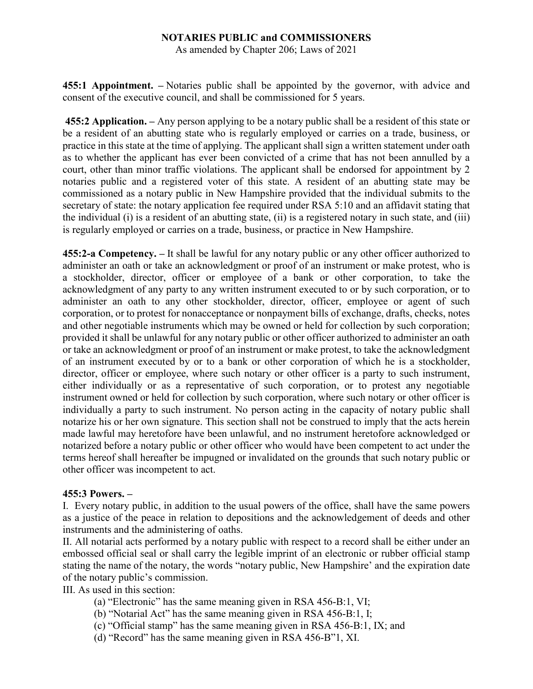#### **NOTARIES PUBLIC and COMMISSIONERS**

As amended by Chapter 206; Laws of 2021

**455:1 Appointment. –** Notaries public shall be appointed by the governor, with advice and consent of the executive council, and shall be commissioned for 5 years.

**455:2 Application. –** Any person applying to be a notary public shall be a resident of this state or be a resident of an abutting state who is regularly employed or carries on a trade, business, or practice in this state at the time of applying. The applicant shall sign a written statement under oath as to whether the applicant has ever been convicted of a crime that has not been annulled by a court, other than minor traffic violations. The applicant shall be endorsed for appointment by 2 notaries public and a registered voter of this state. A resident of an abutting state may be commissioned as a notary public in New Hampshire provided that the individual submits to the secretary of state: the notary application fee required under RSA 5:10 and an affidavit stating that the individual (i) is a resident of an abutting state, (ii) is a registered notary in such state, and (iii) is regularly employed or carries on a trade, business, or practice in New Hampshire.

**455:2-a Competency. –** It shall be lawful for any notary public or any other officer authorized to administer an oath or take an acknowledgment or proof of an instrument or make protest, who is a stockholder, director, officer or employee of a bank or other corporation, to take the acknowledgment of any party to any written instrument executed to or by such corporation, or to administer an oath to any other stockholder, director, officer, employee or agent of such corporation, or to protest for nonacceptance or nonpayment bills of exchange, drafts, checks, notes and other negotiable instruments which may be owned or held for collection by such corporation; provided it shall be unlawful for any notary public or other officer authorized to administer an oath or take an acknowledgment or proof of an instrument or make protest, to take the acknowledgment of an instrument executed by or to a bank or other corporation of which he is a stockholder, director, officer or employee, where such notary or other officer is a party to such instrument, either individually or as a representative of such corporation, or to protest any negotiable instrument owned or held for collection by such corporation, where such notary or other officer is individually a party to such instrument. No person acting in the capacity of notary public shall notarize his or her own signature. This section shall not be construed to imply that the acts herein made lawful may heretofore have been unlawful, and no instrument heretofore acknowledged or notarized before a notary public or other officer who would have been competent to act under the terms hereof shall hereafter be impugned or invalidated on the grounds that such notary public or other officer was incompetent to act.

#### **455:3 Powers. –**

I. Every notary public, in addition to the usual powers of the office, shall have the same powers as a justice of the peace in relation to depositions and the acknowledgement of deeds and other instruments and the administering of oaths.

II. All notarial acts performed by a notary public with respect to a record shall be either under an embossed official seal or shall carry the legible imprint of an electronic or rubber official stamp stating the name of the notary, the words "notary public, New Hampshire' and the expiration date of the notary public's commission.

III. As used in this section:

- (a) "Electronic" has the same meaning given in RSA 456-B:1, VI;
- (b) "Notarial Act" has the same meaning given in RSA 456-B:1, I;
- (c) "Official stamp" has the same meaning given in RSA 456-B:1, IX; and
- (d) "Record" has the same meaning given in RSA 456-B"1, XI.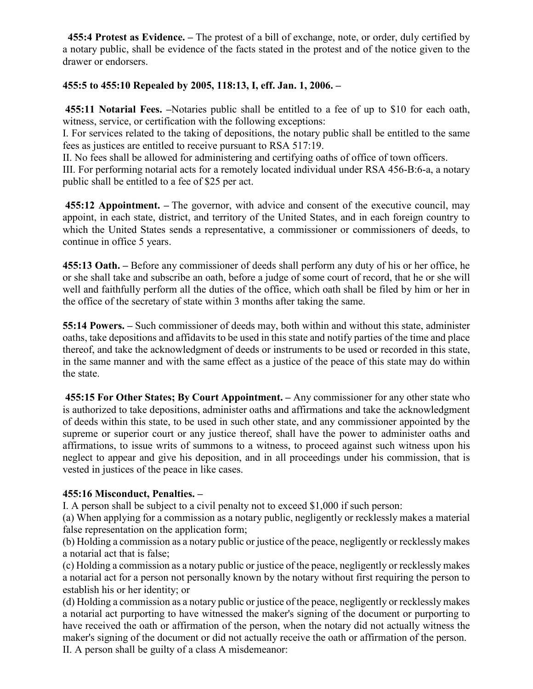**455:4 Protest as Evidence. –** The protest of a bill of exchange, note, or order, duly certified by a notary public, shall be evidence of the facts stated in the protest and of the notice given to the drawer or endorsers.

# **455:5 to 455:10 Repealed by 2005, 118:13, I, eff. Jan. 1, 2006. –**

**455:11 Notarial Fees. –**Notaries public shall be entitled to a fee of up to \$10 for each oath, witness, service, or certification with the following exceptions:

I. For services related to the taking of depositions, the notary public shall be entitled to the same fees as justices are entitled to receive pursuant to RSA 517:19.

II. No fees shall be allowed for administering and certifying oaths of office of town officers.

III. For performing notarial acts for a remotely located individual under RSA 456-B:6-a, a notary public shall be entitled to a fee of \$25 per act.

**455:12 Appointment. –** The governor, with advice and consent of the executive council, may appoint, in each state, district, and territory of the United States, and in each foreign country to which the United States sends a representative, a commissioner or commissioners of deeds, to continue in office 5 years.

**455:13 Oath. –** Before any commissioner of deeds shall perform any duty of his or her office, he or she shall take and subscribe an oath, before a judge of some court of record, that he or she will well and faithfully perform all the duties of the office, which oath shall be filed by him or her in the office of the secretary of state within 3 months after taking the same.

**55:14 Powers. –** Such commissioner of deeds may, both within and without this state, administer oaths, take depositions and affidavits to be used in this state and notify parties of the time and place thereof, and take the acknowledgment of deeds or instruments to be used or recorded in this state, in the same manner and with the same effect as a justice of the peace of this state may do within the state.

**455:15 For Other States; By Court Appointment. –** Any commissioner for any other state who is authorized to take depositions, administer oaths and affirmations and take the acknowledgment of deeds within this state, to be used in such other state, and any commissioner appointed by the supreme or superior court or any justice thereof, shall have the power to administer oaths and affirmations, to issue writs of summons to a witness, to proceed against such witness upon his neglect to appear and give his deposition, and in all proceedings under his commission, that is vested in justices of the peace in like cases.

# **455:16 Misconduct, Penalties. –**

I. A person shall be subject to a civil penalty not to exceed \$1,000 if such person:

(a) When applying for a commission as a notary public, negligently or recklessly makes a material false representation on the application form;

(b) Holding a commission as a notary public or justice of the peace, negligently or recklessly makes a notarial act that is false;

(c) Holding a commission as a notary public or justice of the peace, negligently or recklessly makes a notarial act for a person not personally known by the notary without first requiring the person to establish his or her identity; or

(d) Holding a commission as a notary public or justice of the peace, negligently or recklessly makes a notarial act purporting to have witnessed the maker's signing of the document or purporting to have received the oath or affirmation of the person, when the notary did not actually witness the maker's signing of the document or did not actually receive the oath or affirmation of the person. II. A person shall be guilty of a class A misdemeanor: